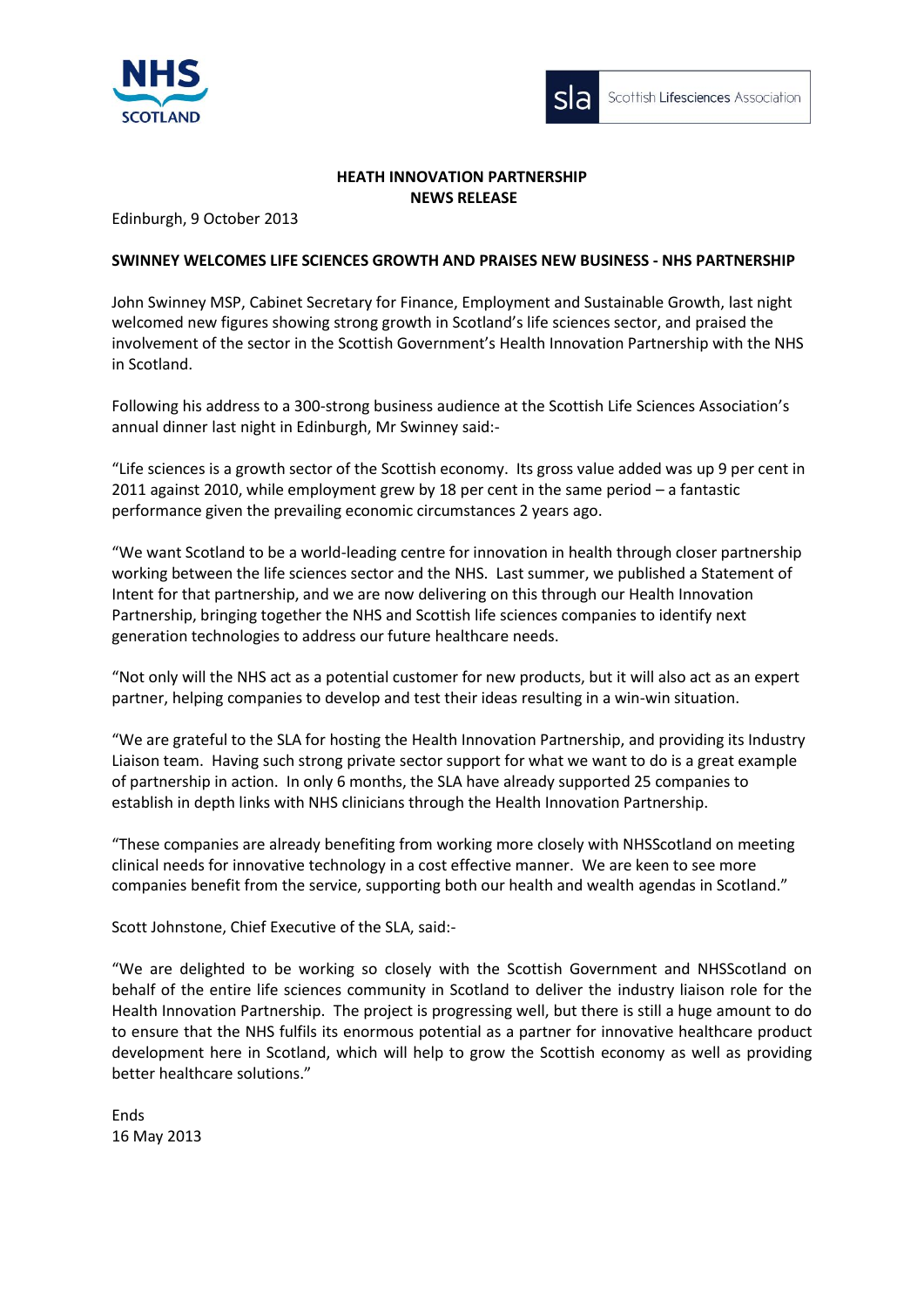



# **HEATH INNOVATION PARTNERSHIP NEWS RELEASE**

Edinburgh, 9 October 2013

## **SWINNEY WELCOMES LIFE SCIENCES GROWTH AND PRAISES NEW BUSINESS - NHS PARTNERSHIP**

John Swinney MSP, Cabinet Secretary for Finance, Employment and Sustainable Growth, last night welcomed new figures showing strong growth in Scotland's life sciences sector, and praised the involvement of the sector in the Scottish Government's Health Innovation Partnership with the NHS in Scotland.

Following his address to a 300-strong business audience at the Scottish Life Sciences Association's annual dinner last night in Edinburgh, Mr Swinney said:-

"Life sciences is a growth sector of the Scottish economy. Its gross value added was up 9 per cent in 2011 against 2010, while employment grew by 18 per cent in the same period – a fantastic performance given the prevailing economic circumstances 2 years ago.

"We want Scotland to be a world-leading centre for innovation in health through closer partnership working between the life sciences sector and the NHS. Last summer, we published a Statement of Intent for that partnership, and we are now delivering on this through our Health Innovation Partnership, bringing together the NHS and Scottish life sciences companies to identify next generation technologies to address our future healthcare needs.

"Not only will the NHS act as a potential customer for new products, but it will also act as an expert partner, helping companies to develop and test their ideas resulting in a win-win situation.

"We are grateful to the SLA for hosting the Health Innovation Partnership, and providing its Industry Liaison team. Having such strong private sector support for what we want to do is a great example of partnership in action. In only 6 months, the SLA have already supported 25 companies to establish in depth links with NHS clinicians through the Health Innovation Partnership.

"These companies are already benefiting from working more closely with NHSScotland on meeting clinical needs for innovative technology in a cost effective manner. We are keen to see more companies benefit from the service, supporting both our health and wealth agendas in Scotland."

Scott Johnstone, Chief Executive of the SLA, said:-

"We are delighted to be working so closely with the Scottish Government and NHSScotland on behalf of the entire life sciences community in Scotland to deliver the industry liaison role for the Health Innovation Partnership. The project is progressing well, but there is still a huge amount to do to ensure that the NHS fulfils its enormous potential as a partner for innovative healthcare product development here in Scotland, which will help to grow the Scottish economy as well as providing better healthcare solutions."

Ends 16 May 2013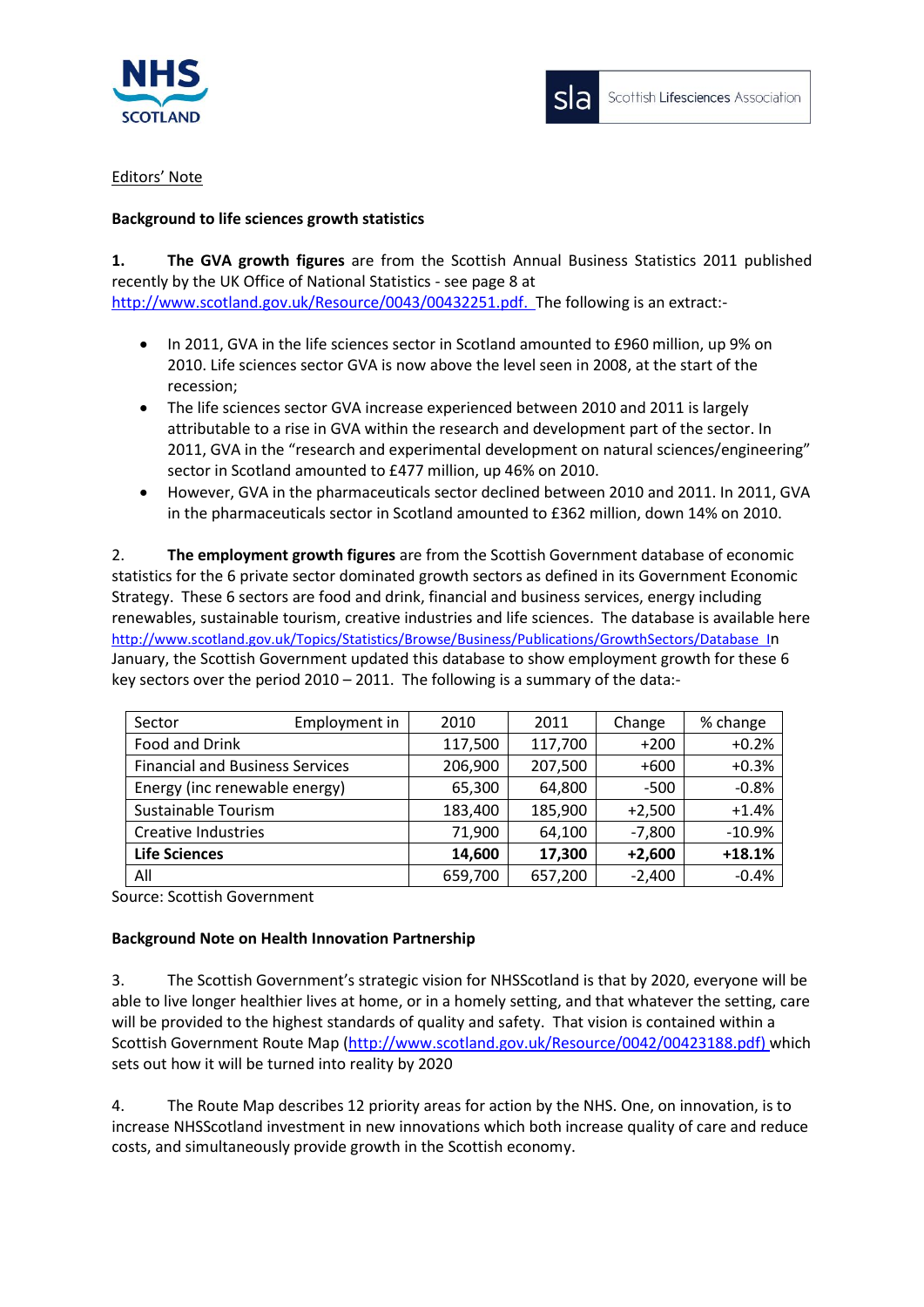

sla

## Editors' Note

# **Background to life sciences growth statistics**

**1. The GVA growth figures** are from the Scottish Annual Business Statistics 2011 published recently by the UK Office of National Statistics - see page 8 at [http://www.scotland.gov.uk/Resource/0043/00432251.pdf.](http://www.scotland.gov.uk/Resource/0043/00432251.pdf) The following is an extract:-

- In 2011, GVA in the life sciences sector in Scotland amounted to £960 million, up 9% on 2010. Life sciences sector GVA is now above the level seen in 2008, at the start of the recession;
- The life sciences sector GVA increase experienced between 2010 and 2011 is largely attributable to a rise in GVA within the research and development part of the sector. In 2011, GVA in the "research and experimental development on natural sciences/engineering" sector in Scotland amounted to £477 million, up 46% on 2010.
- However, GVA in the pharmaceuticals sector declined between 2010 and 2011. In 2011, GVA in the pharmaceuticals sector in Scotland amounted to £362 million, down 14% on 2010.

2. **The employment growth figures** are from the Scottish Government database of economic statistics for the 6 private sector dominated growth sectors as defined in its Government Economic Strategy. These 6 sectors are food and drink, financial and business services, energy including renewables, sustainable tourism, creative industries and life sciences. The database is available here <http://www.scotland.gov.uk/Topics/Statistics/Browse/Business/Publications/GrowthSectors/Database>In January, the Scottish Government updated this database to show employment growth for these 6 key sectors over the period 2010 – 2011. The following is a summary of the data:-

| Sector                                 | Employment in | 2010    | 2011    | Change   | % change |
|----------------------------------------|---------------|---------|---------|----------|----------|
| Food and Drink                         |               | 117,500 | 117,700 | $+200$   | $+0.2%$  |
| <b>Financial and Business Services</b> |               | 206,900 | 207,500 | $+600$   | $+0.3%$  |
| Energy (inc renewable energy)          |               | 65,300  | 64,800  | $-500$   | $-0.8%$  |
| Sustainable Tourism                    |               | 183,400 | 185,900 | $+2,500$ | $+1.4%$  |
| Creative Industries                    |               | 71,900  | 64,100  | $-7,800$ | $-10.9%$ |
| <b>Life Sciences</b>                   |               | 14,600  | 17,300  | $+2,600$ | $+18.1%$ |
| All                                    |               | 659,700 | 657,200 | $-2,400$ | $-0.4%$  |

Source: Scottish Government

### **Background Note on Health Innovation Partnership**

3. The Scottish Government's strategic vision for NHSScotland is that by 2020, everyone will be able to live longer healthier lives at home, or in a homely setting, and that whatever the setting, care will be provided to the highest standards of quality and safety. That vision is contained within a Scottish Government Route Map [\(http://www.scotland.gov.uk/Resource/0042/00423188.pdf\)](http://www.scotland.gov.uk/Resource/0042/00423188.pdf) which sets out how it will be turned into reality by 2020

4. The Route Map describes 12 priority areas for action by the NHS. One, on innovation, is to increase NHSScotland investment in new innovations which both increase quality of care and reduce costs, and simultaneously provide growth in the Scottish economy.